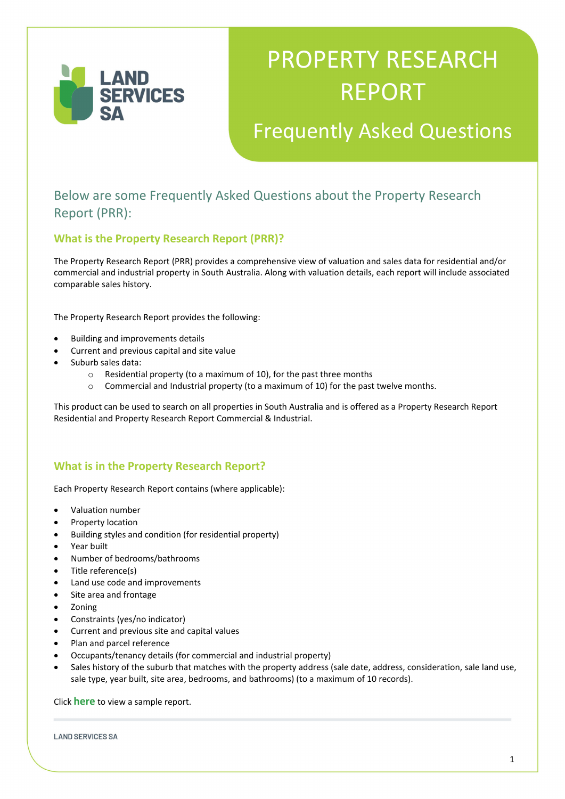

# PROPERTY RESEARCH REPORT

## Frequently Asked Questions

### Below are some Frequently Asked Questions about the Property Research Report (PRR):

#### **What is the Property Research Report (PRR)?**

The Property Research Report (PRR) provides a comprehensive view of valuation and sales data for residential and/or commercial and industrial property in South Australia. Along with valuation details, each report will include associated comparable sales history.

The Property Research Report provides the following:

- Building and improvements details
- Current and previous capital and site value
- Suburb sales data:
	- o Residential property (to a maximum of 10), for the past three months
	- o Commercial and Industrial property (to a maximum of 10) for the past twelve months.

This product can be used to search on all properties in South Australia and is offered as a Property Research Report Residential and Property Research Report Commercial & Industrial.

#### **What is in the Property Research Report?**

Each Property Research Report contains (where applicable):

- Valuation number
- Property location
- Building styles and condition (for residential property)
- Year built
- Number of bedrooms/bathrooms
- Title reference(s)
- Land use code and improvements
- Site area and frontage
- Zoning
- Constraints (yes/no indicator)
- Current and previous site and capital values
- Plan and parcel reference
- Occupants/tenancy details (for commercial and industrial property)
- Sales history of the suburb that matches with the property address (sale date, address, consideration, sale land use, sale type, year built, site area, bedrooms, and bathrooms) (to a maximum of 10 records).

Click **here** to view a sample report.

**LAND SERVICES SA**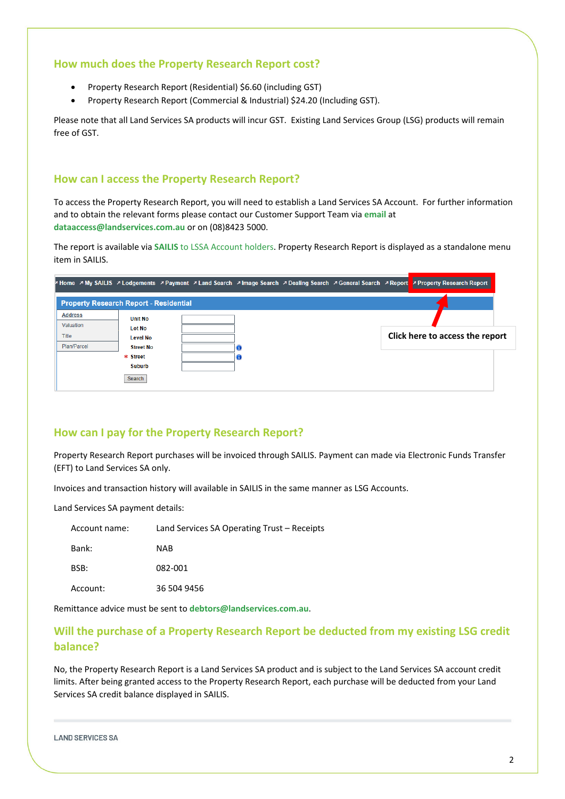#### **How much does the Property Research Report cost?**

- Property Research Report (Residential) \$6.60 (including GST)
- Property Research Report (Commercial & Industrial) \$24.20 (Including GST).

Please note that all Land Services SA products will incur GST. Existing Land Services Group (LSG) products will remain free of GST.

#### **How can I access the Property Research Report?**

To access the Property Research Report, you will need to establish a Land Services SA Account. For further information and to obtain the relevant forms please contact our Customer Support Team via **email** at **dataaccess@landservices.com.au** or on (08)8423 5000.

The report is available via **SAILIS** to LSSA Account holders. Property Research Report is displayed as a standalone menu item in SAILIS.

|                                               |                                  |  |  |  | P Home > My SAILIS > Lodgements > Payment > Land Search > Image Search > Dealing Search > General Search > Report > Property Research Report |
|-----------------------------------------------|----------------------------------|--|--|--|----------------------------------------------------------------------------------------------------------------------------------------------|
| <b>Property Research Report - Residential</b> |                                  |  |  |  |                                                                                                                                              |
| <b>Address</b><br>Valuation                   | <b>Unit No</b>                   |  |  |  |                                                                                                                                              |
| Title                                         | <b>Lot No</b><br><b>Level No</b> |  |  |  | Click here to access the report                                                                                                              |
| Plan/Parcel                                   | <b>Street No</b><br>* Street     |  |  |  |                                                                                                                                              |
|                                               | <b>Suburb</b>                    |  |  |  |                                                                                                                                              |
|                                               | Search                           |  |  |  |                                                                                                                                              |

#### **How can I pay for the Property Research Report?**

Property Research Report purchases will be invoiced through SAILIS. Payment can made via Electronic Funds Transfer (EFT) to Land Services SA only.

Invoices and transaction history will available in SAILIS in the same manner as LSG Accounts.

Land Services SA payment details:

| Account name: | Land Services SA Operating Trust – Receipts |
|---------------|---------------------------------------------|
| Bank:         | <b>NAB</b>                                  |
| BSB:          | 082-001                                     |
| Account:      | 36 504 9456                                 |

Remittance advice must be sent to **debtors@landservices.com.au**.

#### **Will the purchase of a Property Research Report be deducted from my existing LSG credit balance?**

No, the Property Research Report is a Land Services SA product and is subject to the Land Services SA account credit limits. After being granted access to the Property Research Report, each purchase will be deducted from your Land Services SA credit balance displayed in SAILIS.